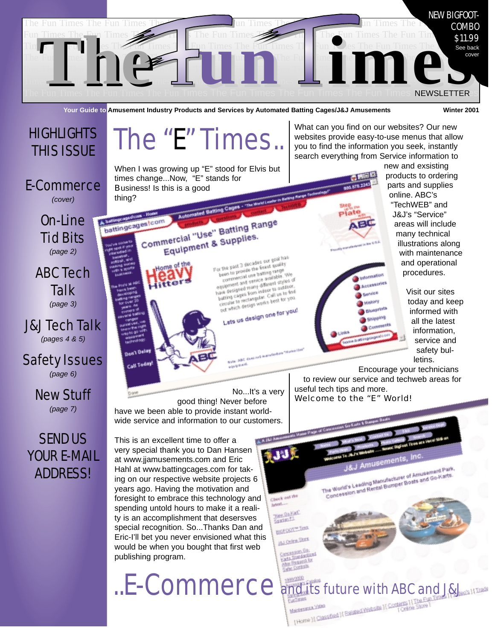

**Your Guide to Amusement Industry Products and Services by Automated Batting Cages/J&J Amusements Winter 2001**

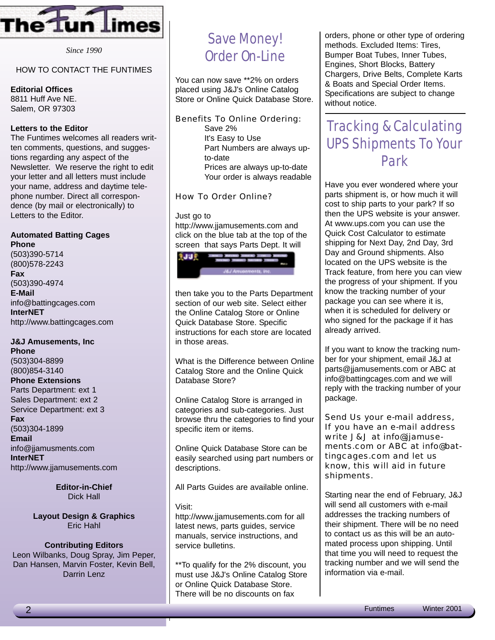

*Since 1990*

#### HOW TO CONTACT THE FUNTIMES

#### **Editorial Offices**

8811 Huff Ave NE. Salem, OR 97303

#### **Letters to the Editor**

The Funtimes welcomes all readers written comments, questions, and suggestions regarding any aspect of the Newsletter. We reserve the right to edit your letter and all letters must include your name, address and daytime telephone number. Direct all correspondence (by mail or electronically) to Letters to the Editor.

#### **Automated Batting Cages Phone**

(503)390-5714 (800)578-2243 **Fax** (503)390-4974 **E-Mail** info@battingcages.com **InterNET** http://www.battingcages.com

### **J&J Amusements, Inc**

**Phone** (503)304-8899 (800)854-3140 **Phone Extensions** Parts Department: ext 1 Sales Department: ext 2 Service Department: ext 3 **Fax** (503)304-1899 **Email** info@jjamusments.com **InterNET** http://www.jjamusements.com

> **Editor-in-Chief** Dick Hall

**Layout Design & Graphics** Eric Hahl

#### **Contributing Editors**

Leon Wilbanks, Doug Spray, Jim Peper, Dan Hansen, Marvin Foster, Kevin Bell, Darrin Lenz

### Save Money! Order On-Line

You can now save \*\*2% on orders placed using J&J's Online Catalog Store or Online Quick Database Store.

Benefits To Online Ordering: Save 2% It's Easy to Use Part Numbers are always upto-date Prices are always up-to-date Your order is always readable

How To Order Online?

Just go to http://www.jjamusements.com and click on the blue tab at the top of the screen that says Parts Dept. It will



then take you to the Parts Department section of our web site. Select either the Online Catalog Store or Online Quick Database Store. Specific instructions for each store are located in those areas.

What is the Difference between Online Catalog Store and the Online Quick Database Store?

Online Catalog Store is arranged in categories and sub-categories. Just browse thru the categories to find your specific item or items.

Online Quick Database Store can be easily searched using part numbers or descriptions.

All Parts Guides are available online.

#### Visit:

http://www.jjamusements.com for all latest news, parts guides, service manuals, service instructions, and service bulletins.

\*\*To qualify for the 2% discount, you must use J&J's Online Catalog Store or Online Quick Database Store. There will be no discounts on fax

orders, phone or other type of ordering methods. Excluded Items: Tires, Bumper Boat Tubes, Inner Tubes, Engines, Short Blocks, Battery Chargers, Drive Belts, Complete Karts & Boats and Special Order Items. Specifications are subject to change without notice.

#### Tracking & Calculating UPS Shipments To Your Park

Have you ever wondered where your parts shipment is, or how much it will cost to ship parts to your park? If so then the UPS website is your answer. At www.ups.com you can use the Quick Cost Calculator to estimate shipping for Next Day, 2nd Day, 3rd Day and Ground shipments. Also located on the UPS website is the Track feature, from here you can view the progress of your shipment. If you know the tracking number of your package you can see where it is, when it is scheduled for delivery or who signed for the package if it has already arrived.

If you want to know the tracking number for your shipment, email J&J at parts@jjamusements.com or ABC at info@battingcages.com and we will reply with the tracking number of your package.

Send Us your e-mail address, If you have an e-mail address write J&J at info@jjamusements.com or ABC at info@battingcages.com and let us know, this will aid in future shipments.

Starting near the end of February, J&J will send all customers with e-mail addresses the tracking numbers of their shipment. There will be no need to contact us as this will be an automated process upon shipping. Until that time you will need to request the tracking number and we will send the information via e-mail.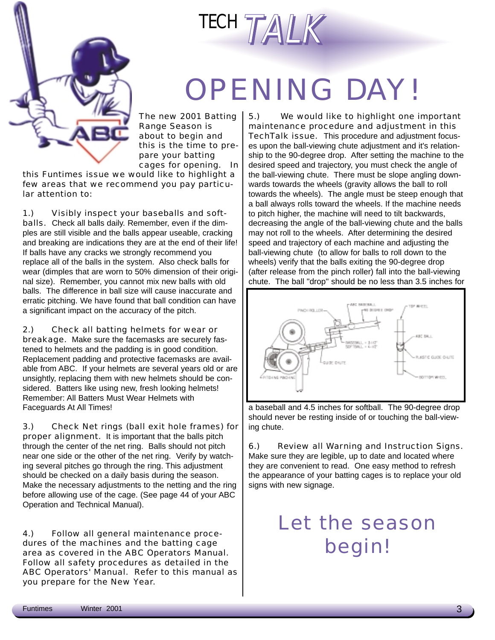



# OPENING DAY!

The new 2001 Batting Range Season is about to begin and this is the time to prepare your batting cages for opening. In

this Funtimes issue we would like to highlight a few areas that we recommend you pay particular attention to:

1.) Visibly inspect your baseballs and softballs. Check all balls daily. Remember, even if the dimples are still visible and the balls appear useable, cracking and breaking are indications they are at the end of their life! If balls have any cracks we strongly recommend you replace all of the balls in the system. Also check balls for wear (dimples that are worn to 50% dimension of their original size). Remember, you cannot mix new balls with old balls. The difference in ball size will cause inaccurate and erratic pitching. We have found that ball condition can have a significant impact on the accuracy of the pitch.

2.) Check all batting helmets for wear or breakage. Make sure the facemasks are securely fastened to helmets and the padding is in good condition. Replacement padding and protective facemasks are available from ABC. If your helmets are several years old or are unsightly, replacing them with new helmets should be considered. Batters like using new, fresh looking helmets! Remember: All Batters Must Wear Helmets with Faceguards At All Times!

3.) Check Net rings (ball exit hole frames) for proper alignment. It is important that the balls pitch through the center of the net ring. Balls should not pitch near one side or the other of the net ring. Verify by watching several pitches go through the ring. This adjustment should be checked on a daily basis during the season. Make the necessary adjustments to the netting and the ring before allowing use of the cage. (See page 44 of your ABC Operation and Technical Manual).

4.) Follow all general maintenance procedures of the machines and the batting cage area as covered in the ABC Operators Manual. Follow all safety procedures as detailed in the ABC Operators' Manual. Refer to this manual as you prepare for the New Year.

5.) We would like to highlight one important maintenance procedure and adjustment in this TechTalk issue. This procedure and adjustment focuses upon the ball-viewing chute adjustment and it's relationship to the 90-degree drop. After setting the machine to the desired speed and trajectory, you must check the angle of the ball-viewing chute. There must be slope angling downwards towards the wheels (gravity allows the ball to roll towards the wheels). The angle must be steep enough that a ball always rolls toward the wheels. If the machine needs to pitch higher, the machine will need to tilt backwards, decreasing the angle of the ball-viewing chute and the balls may not roll to the wheels. After determining the desired speed and trajectory of each machine and adjusting the ball-viewing chute (to allow for balls to roll down to the wheels) verify that the balls exiting the 90-degree drop (after release from the pinch roller) fall into the ball-viewing chute. The ball "drop" should be no less than 3.5 inches for



a baseball and 4.5 inches for softball. The 90-degree drop should never be resting inside of or touching the ball-viewing chute.

6.) Review all Warning and Instruction Signs. Make sure they are legible, up to date and located where they are convenient to read. One easy method to refresh the appearance of your batting cages is to replace your old signs with new signage.

## Let the season begin!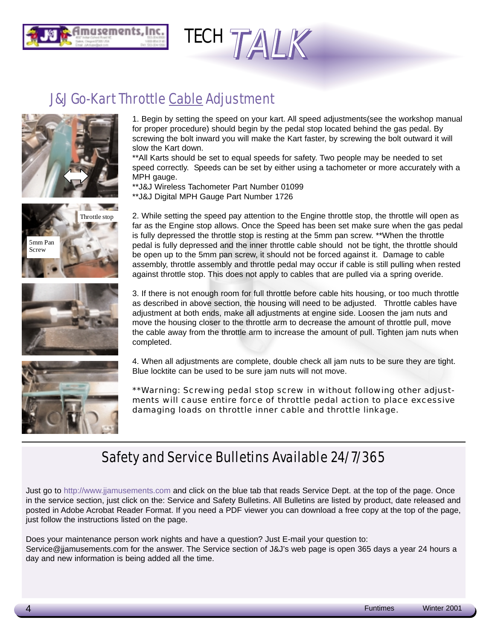



#### J&J Go-Kart Throttle Cable Adjustment









1. Begin by setting the speed on your kart. All speed adjustments(see the workshop manual for proper procedure) should begin by the pedal stop located behind the gas pedal. By screwing the bolt inward you will make the Kart faster, by screwing the bolt outward it will slow the Kart down.

\*\*All Karts should be set to equal speeds for safety. Two people may be needed to set speed correctly. Speeds can be set by either using a tachometer or more accurately with a MPH gauge.

\*\*J&J Wireless Tachometer Part Number 01099

\*\*J&J Digital MPH Gauge Part Number 1726

2. While setting the speed pay attention to the Engine throttle stop, the throttle will open as far as the Engine stop allows. Once the Speed has been set make sure when the gas pedal is fully depressed the throttle stop is resting at the 5mm pan screw. \*\*When the throttle pedal is fully depressed and the inner throttle cable should not be tight, the throttle should be open up to the 5mm pan screw, it should not be forced against it. Damage to cable assembly, throttle assembly and throttle pedal may occur if cable is still pulling when rested against throttle stop. This does not apply to cables that are pulled via a spring overide.

3. If there is not enough room for full throttle before cable hits housing, or too much throttle as described in above section, the housing will need to be adjusted. Throttle cables have adjustment at both ends, make all adjustments at engine side. Loosen the jam nuts and move the housing closer to the throttle arm to decrease the amount of throttle pull, move the cable away from the throttle arm to increase the amount of pull. Tighten jam nuts when completed.

4. When all adjustments are complete, double check all jam nuts to be sure they are tight. Blue locktite can be used to be sure jam nuts will not move.

\*\*Warning: Screwing pedal stop screw in without following other adjustments will cause entire force of throttle pedal action to place excessive damaging loads on throttle inner cable and throttle linkage.

#### Safety and Service Bulletins Available 24/7/365

Just go to http://www.jjamusements.com and click on the blue tab that reads Service Dept. at the top of the page. Once in the service section, just click on the: Service and Safety Bulletins. All Bulletins are listed by product, date released and posted in Adobe Acrobat Reader Format. If you need a PDF viewer you can download a free copy at the top of the page, just follow the instructions listed on the page.

Does your maintenance person work nights and have a question? Just E-mail your question to: Service@jjamusements.com for the answer. The Service section of J&J's web page is open 365 days a year 24 hours a day and new information is being added all the time.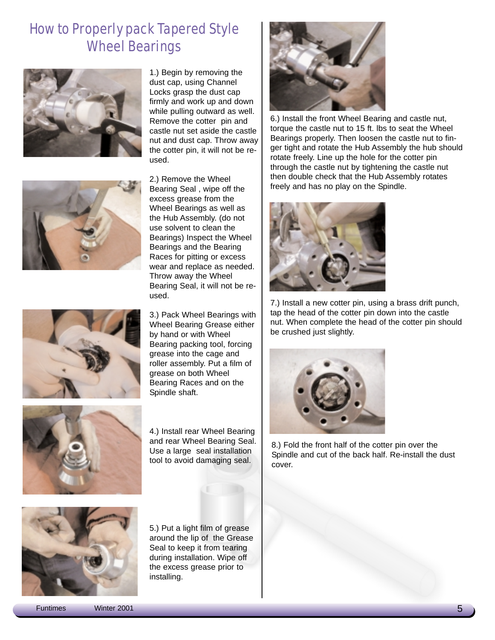#### How to Properly pack Tapered Style Wheel Bearings







2.) Remove the Wheel Bearing Seal , wipe off the excess grease from the Wheel Bearings as well as the Hub Assembly. (do not use solvent to clean the Bearings) Inspect the Wheel Bearings and the Bearing Races for pitting or excess wear and replace as needed. Throw away the Wheel Bearing Seal, it will not be reused.



3.) Pack Wheel Bearings with Wheel Bearing Grease either by hand or with Wheel Bearing packing tool, forcing grease into the cage and roller assembly. Put a film of grease on both Wheel Bearing Races and on the Spindle shaft.



4.) Install rear Wheel Bearing and rear Wheel Bearing Seal. Use a large seal installation tool to avoid damaging seal.



5.) Put a light film of grease around the lip of the Grease Seal to keep it from tearing during installation. Wipe off the excess grease prior to installing.



6.) Install the front Wheel Bearing and castle nut, torque the castle nut to 15 ft. lbs to seat the Wheel Bearings properly. Then loosen the castle nut to finger tight and rotate the Hub Assembly the hub should rotate freely. Line up the hole for the cotter pin through the castle nut by tightening the castle nut then double check that the Hub Assembly rotates freely and has no play on the Spindle.



7.) Install a new cotter pin, using a brass drift punch, tap the head of the cotter pin down into the castle nut. When complete the head of the cotter pin should be crushed just slightly.



8.) Fold the front half of the cotter pin over the Spindle and cut of the back half. Re-install the dust cover.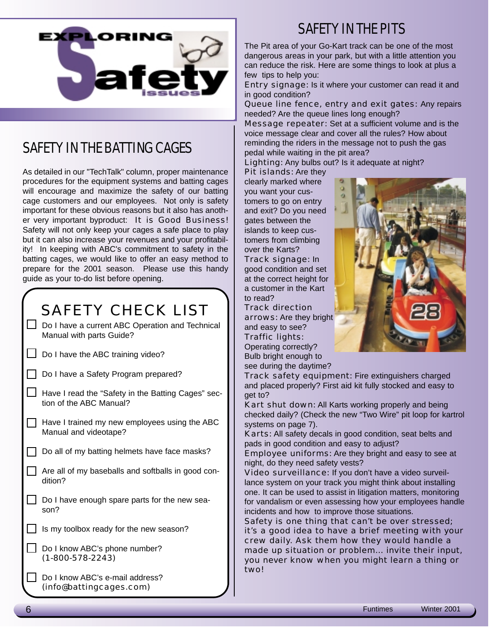

### SAFETY IN THE BATTING CAGES

As detailed in our "TechTalk" column, proper maintenance procedures for the equipment systems and batting cages will encourage and maximize the safety of our batting cage customers and our employees. Not only is safety important for these obvious reasons but it also has another very important byproduct: It is Good Business! Safety will not only keep your cages a safe place to play but it can also increase your revenues and your profitability! In keeping with ABC's commitment to safety in the batting cages, we would like to offer an easy method to prepare for the 2001 season. Please use this handy guide as your to-do list before opening.

### SAFFTY CHFCK LIST

Do I have a current ABC Operation and Technical Manual with parts Guide?

- $\Box$  Do I have the ABC training video?
- Do I have a Safety Program prepared?
- Have I read the "Safety in the Batting Cages" section of the ABC Manual?
- $\Box$  Have I trained my new employees using the ABC Manual and videotape?
- $\Box$  Do all of my batting helmets have face masks?
- Are all of my baseballs and softballs in good condition?
- $\Box$  Do I have enough spare parts for the new season?
- Is my toolbox ready for the new season?
- Do I know ABC's phone number? (1-800-578-2243)
- Do I know ABC's e-mail address? (info@battingcages.com)

#### SAFETY IN THE PITS

The Pit area of your Go-Kart track can be one of the most dangerous areas in your park, but with a little attention you can reduce the risk. Here are some things to look at plus a few tips to help you:

Entry signage: Is it where your customer can read it and in good condition?

Queue line fence, entry and exit gates: Any repairs needed? Are the queue lines long enough?

Message repeater: Set at a sufficient volume and is the voice message clear and cover all the rules? How about reminding the riders in the message not to push the gas pedal while waiting in the pit area?

Lighting: Any bulbs out? Is it adequate at night?

Pit islands: Are they clearly marked where you want your customers to go on entry and exit? Do you need gates between the islands to keep customers from climbing over the Karts? Track signage: In good condition and set at the correct height for a customer in the Kart to read?

Track direction arrows: Are they bright

and easy to see? Traffic lights: Operating correctly? Bulb bright enough to see during the daytime?



Track safety equipment: Fire extinguishers charged and placed properly? First aid kit fully stocked and easy to get to?

Kart shut down: All Karts working properly and being checked daily? (Check the new "Two Wire" pit loop for kartrol systems on page 7).

Karts: All safety decals in good condition, seat belts and pads in good condition and easy to adjust?

Employee uniforms: Are they bright and easy to see at night, do they need safety vests?

Video surveillance: If you don't have a video surveillance system on your track you might think about installing one. It can be used to assist in litigation matters, monitoring for vandalism or even assessing how your employees handle incidents and how to improve those situations.

Safety is one thing that can't be over stressed; it's a good idea to have a brief meeting with your crew daily. Ask them how they would handle a made up situation or problem... invite their input, you never know when you might learn a thing or two!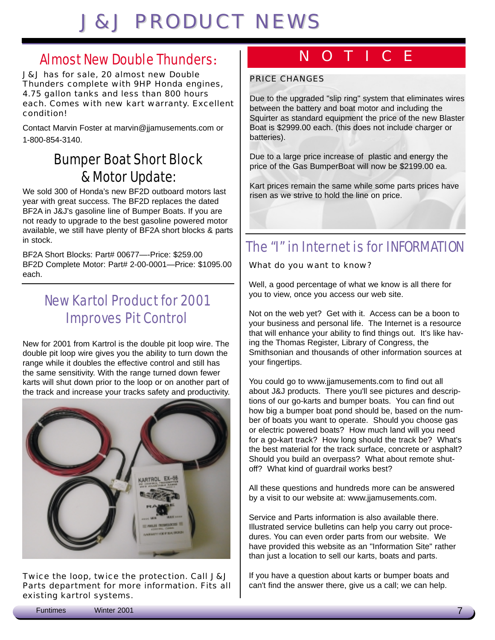## **J&J PRODUCT NEWS**

#### Almost New Double Thunders**:**

J&J has for sale, 20 almost new Double Thunders complete with 9HP Honda engines, 4.75 gallon tanks and less than 800 hours each. Comes with new kart warranty. Excellent condition!

Contact Marvin Foster at marvin@jjamusements.com or 1-800-854-3140.

#### Bumper Boat Short Block & Motor Update:

We sold 300 of Honda's new BF2D outboard motors last year with great success. The BF2D replaces the dated BF2A in J&J's gasoline line of Bumper Boats. If you are not ready to upgrade to the best gasoline powered motor available, we still have plenty of BF2A short blocks & parts in stock.

BF2A Short Blocks: Part# 00677—-Price: \$259.00 BF2D Complete Motor: Part# 2-00-0001—Price: \$1095.00 each.

### New Kartol Product for 2001 Improves Pit Control

New for 2001 from Kartrol is the double pit loop wire. The double pit loop wire gives you the ability to turn down the range while it doubles the effective control and still has the same sensitivity. With the range turned down fewer karts will shut down prior to the loop or on another part of the track and increase your tracks safety and productivity.



Twice the loop, twice the protection. Call J&J Parts department for more information. Fits all existing kartrol systems.

### NOTICE

#### PRICE CHANGES

Due to the upgraded "slip ring" system that eliminates wires between the battery and boat motor and including the Squirter as standard equipment the price of the new Blaster Boat is \$2999.00 each. (this does not include charger or batteries).

Due to a large price increase of plastic and energy the price of the Gas BumperBoat will now be \$2199.00 ea.

Kart prices remain the same while some parts prices have risen as we strive to hold the line on price.

### The "I" in Internet is for INFORMATION

What do you want to know?

Well, a good percentage of what we know is all there for you to view, once you access our web site.

Not on the web yet? Get with it. Access can be a boon to your business and personal life. The Internet is a resource that will enhance your ability to find things out. It's like having the Thomas Register, Library of Congress, the Smithsonian and thousands of other information sources at your fingertips.

You could go to www.jjamusements.com to find out all about J&J products. There you'll see pictures and descriptions of our go-karts and bumper boats. You can find out how big a bumper boat pond should be, based on the number of boats you want to operate. Should you choose gas or electric powered boats? How much land will you need for a go-kart track? How long should the track be? What's the best material for the track surface, concrete or asphalt? Should you build an overpass? What about remote shutoff? What kind of guardrail works best?

All these questions and hundreds more can be answered by a visit to our website at: www.jjamusements.com.

Service and Parts information is also available there. Illustrated service bulletins can help you carry out procedures. You can even order parts from our website. We have provided this website as an "Information Site" rather than just a location to sell our karts, boats and parts.

If you have a question about karts or bumper boats and can't find the answer there, give us a call; we can help.